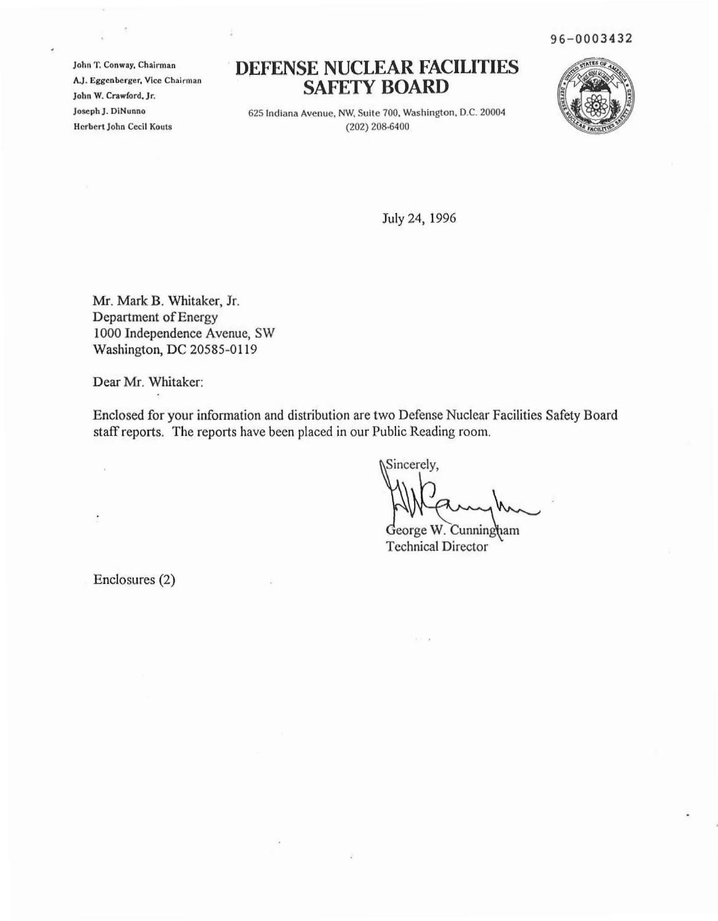96-0003432

 $John T. Conway, Chairman$ **AJ. Eggenberger, Vice ChaIrman John W. CrawCord. Jr.** Joseph J. DiNunno **Herbert John Cecil KoulS**

¥

## **DEFENSE NUCLEAR FACILITIES SAFETY BOARD**



625 Indiana **Avenue. NW. Suite 100. Washington, D.C. 20004** (202) 208·6400

July 24, 1996

Mr. Mark B. Whitaker, Jr. Department of Energy 1000 Independence Avenue, SW Washington, DC 20585-0119

Dear Mr. Whitaker:

Enclosed for your information and distribution are two Defense Nuclear Facilities Safety Board staff reports. The reports have been placed in our Public Reading room.

Sincerely,

George W. Cunningham Technical Director

Enclosures (2)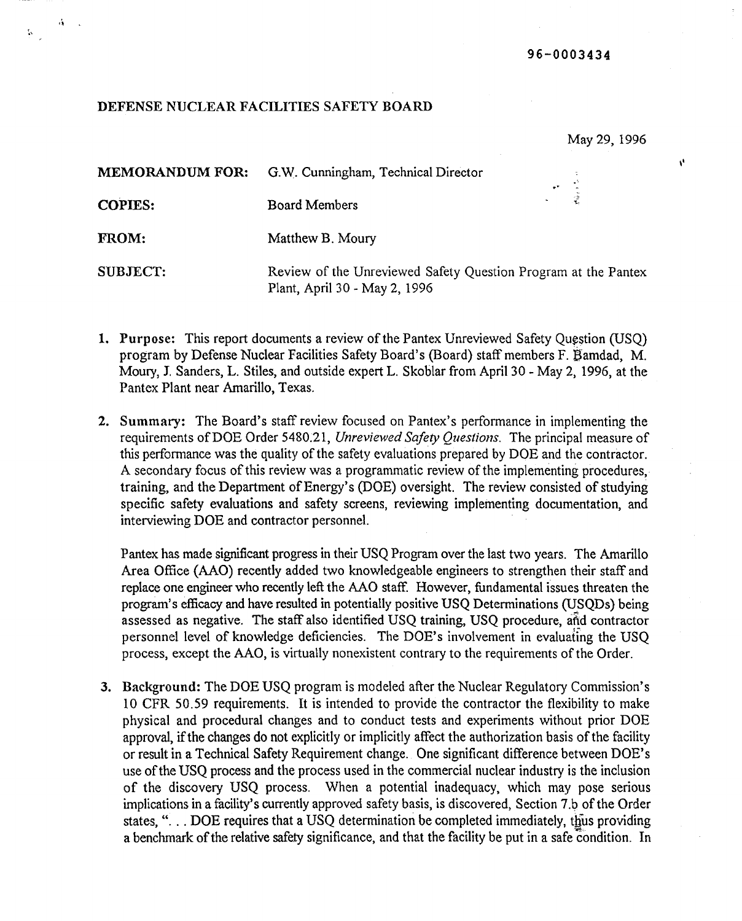## DEFENSE NUCLEAR FACILITIES SAFETY BOARD

, .'

 $\mathbf{r}$ 

May 29, 1996

 $\mathbf{v}$ 

| <b>MEMORANDUM FOR:</b> | G.W. Cunningham, Technical Director                                                             | $\mathcal{L} \subset \mathbb{R}^2$ |
|------------------------|-------------------------------------------------------------------------------------------------|------------------------------------|
| <b>COPIES:</b>         | <b>Board Members</b>                                                                            | 도시 준                               |
| FROM:                  | Matthew B. Moury                                                                                |                                    |
| <b>SUBJECT:</b>        | Review of the Unreviewed Safety Question Program at the Pantex<br>Plant, April 30 - May 2, 1996 |                                    |

- 1. Purpose: This report documents a review of the Pantex Unreviewed Safety Question (USQ) program by Defense Nuclear Facilities Safety Board's (Board) staff members F. gamdad, M. Maury, J. Sanders, L. Stiles, and outside expert L. Skoblar from April 30 - May 2, 1996, at the Pantex Plant near Amarillo, Texas.
- 2. Summary: The Board's staff review focused on Pantex's performance in implementing the requirements ofDOE Order 5480.21, *Unreviewed Safety Questions.* The principal measure of this performance was the quality of the safety evaluations prepared by DOE and the contractor. A secondary focus of this review was a programmatic review of the implementing procedures, training, and the Department of Energy's (DOE) oversight. The review consisted of studying specific safety evaluations and safety screens, reviewing implementing documentation, and interviewing DOE and contractor personnel.

Pantex has made significant progress in their USQ Program over the last two years. The Amarillo Area Office (AAO) recently added two knowledgeable engineers to strengthen their staff and replace one engineer who recently left the AAO staff. However, fundamental issues threaten the program's efficacy and have resulted in potentially positive USQ Determinations (uSQDs) being assessed as negative. The staff also identified USQ training, USQ procedure, aftd contractor personnel level of knowledge deficiencies. The DOE's involvement in evaluating the USQ process, except the AAO, is virtually nonexistent contrary to the requirements of the Order.

3. Background: The DOE USQ program is modeled after the Nuclear Regulatory Commission's 10 CFR 50.59 requirements. It is intended to provide the contractor the flexibility to make physical and procedural changes and to conduct tests and experiments without prior DOE approval, if the changes do not explicitly or implicitly affect the authorization basis of the facility or result in a Technical Safety Requirement change. One significant difference between DOE's use of the USQ process and the process used in the commercial nuclear industry is the inclusion of the discovery USQ process. When a potential inadequacy, which may pose serious implications in a facility's currently approved safety basis, is discovered, Section 7.b of the Order states, "... DOE requires that a USQ determination be completed immediately, thus providing a benchmark of the relative safety significance, and that the facility be put in a safe condition. In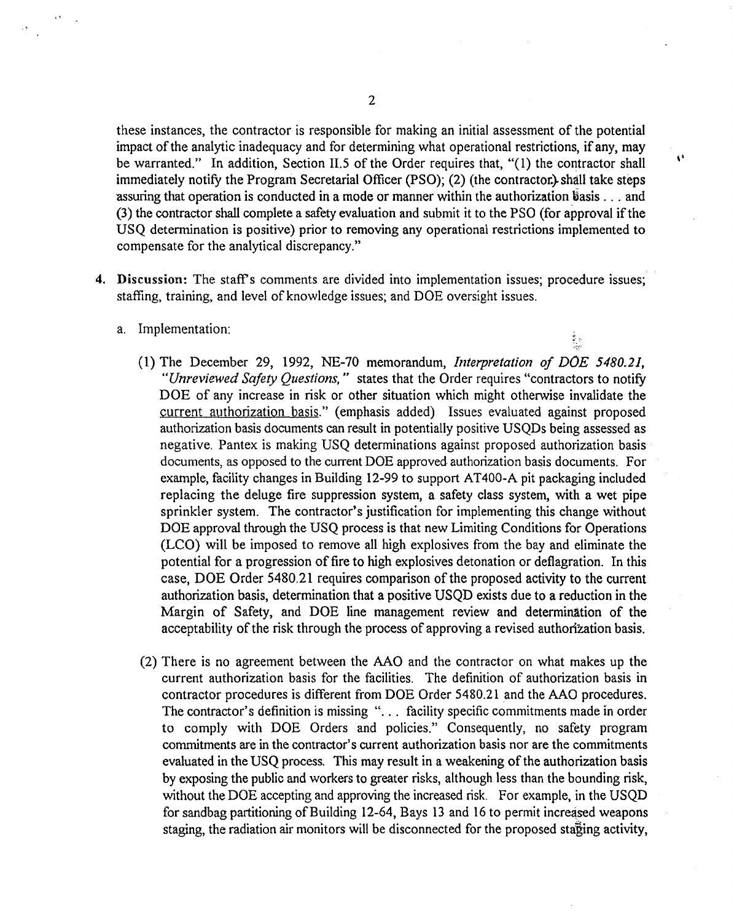these instances, the contractor is responsible for making an initial assessment of the potential impact of the analytic inadequacy and for determining what operational restrictions, if any, may be warranted." In addition, Section II.5 of the Order requires that, "(1) the contractor shall immediately notify the Program Secretarial Officer (PSO); (2) (the contractor.} shall take steps assuring that operation is conducted in a mode or manner within the authorization  $\ddot{\theta}$ asis ... and (3) the contractor shall complete a safety evaluation and submit it to the PSO (for approval ifthe USQ determination is positive) prior to removing any operational restrictions implemented to compensate for the analytical discrepancy."

,'

ê<br>Li

- 4. Discussion: The staff's comments are divided into implementation issues; procedure issues; staffing, training, and level of knowledge issues; and DOE oversight issues.
	- a. Implementation:
		- (1) The December 29, 1992, NE-70 memorandum, *Interpretation of DOE 5480.21, "Unreviewed Safety Questions,"* states that the Order requires "contractors to notify DOE of any increase in risk or other situation which might otherwise invalidate the current authorization basis." (emphasis added) Issues evaluated against proposed authorization basis documents can result in potentially positive USQDs being assessed as negative. Pantex is making USQ determinations against proposed authorization basis documents, as opposed to the current DOE approved authorization basis documents. For example, facility changes in Building 12-99 to support AT400-A pit packaging included replacing the deluge fire suppression system, a safety class system, with a wet pipe sprinkler system. The contractor's justification for implementing this change without DOE approval through the USQ process is that new Limiting Conditions for Operations (LCO) will be imposed to remove all high explosives from the bay and eliminate the potential for a progression of fire to high explosives detonation or deflagration. In this case, DOE Order 5480.21 requires comparison of the proposed activity to the current authorization basis, determination that a positive USQD exists due to a reduction in the Margin of Safety, and DOE line management review and determination of the acceptability of the risk through the process of approving a revised authorization basis.
		- (2) There is no agreement between the AAO and the contractor on what makes up the current authorization basis for the facilities. The definition of authorization basis in contractor procedures is different from DOE Order 5480.21 and the AAO procedures. The contractor's definition is missing "... facility specific commitments made in order to comply with DOE Orders and policies." Consequently, no safety program commitments are in the contractor's current authorization basis nor are the commitments evaluated in the USQ process. This may result in a weakening of the authorization basis by exposing the public and workers to greater risks, although less than the bounding risk, without the DOE accepting and approving the increased risk. For example, in the USQD for sandbag partitioning ofBuilding 12-64, Bays 13 and 16 to permit increased weapons staging, the radiation air monitors will be disconnected for the proposed staging activity,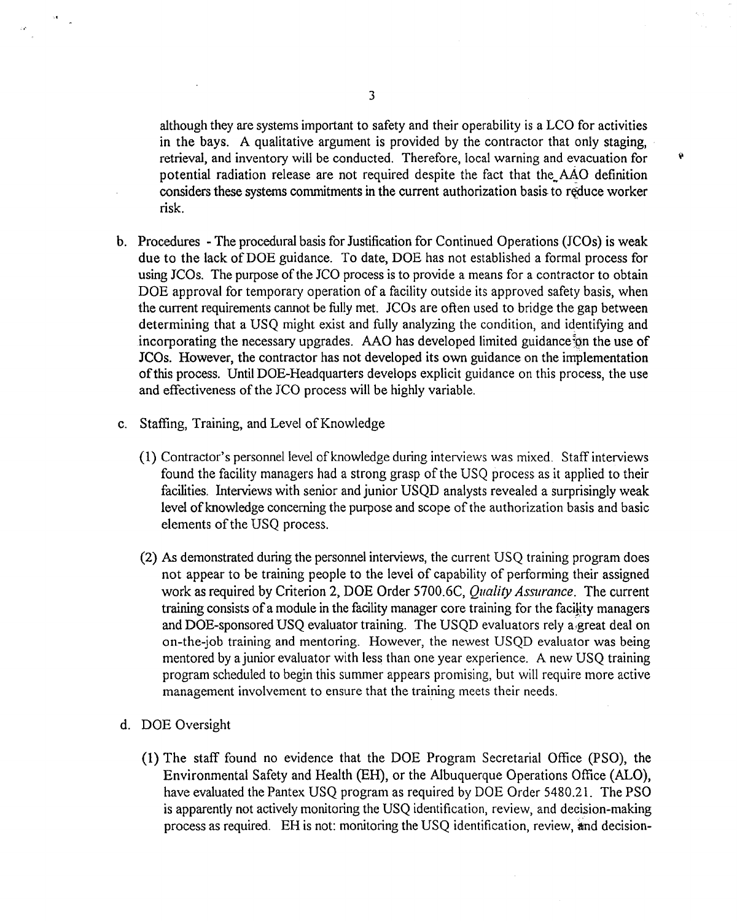although they are systems important to safety and their operability is a LCO for activities in the bays. A qualitative argument is provided by the contractor that only staging, retrieval, and inventory will be conducted. Therefore, local warning and evacuation for potential radiation release are not required despite the fact that the AAO definition considers these systems commitments in the current authorization basis to reduce worker risk.

Ÿ

- b. Procedures The procedural basis for Justification for Continued Operations *(ICOs)* is weak due to the lack of DOE guidance. To date, DOE has not established a formal process for using JCOs. The purpose of the JCO process is to provide a means for a contractor to obtain DOE approval for temporary operation of a facility outside its approved safety basis, when the current requirements cannot be fully met. JCOs are often used to bridge the gap between determining that a USQ might exist and fully analyzing the condition, and identifying and incorporating the necessary upgrades. AAO has developed limited guidance of the use of JCOs. However, the contractor has not developed its own guidance on the implementation ofthis process. Until DOE-Headquarters develops explicit guidance on this process, the use and effectiveness of the *ICO* process will be highly variable.
- c. Staffing, Training, and Level of Knowledge
	- (1) Contractor's personnel level ofknowledge during interviews was mixed. Staff interviews found the facility managers had a strong grasp of the USQ process as it applied to their facilities. Interviews with senior and junior USQD analysts revealed a surprisingly weak level of knowledge concerning the purpose and scope of the authorization basis and basic elements of the USQ process.
	- (2) As demonstrated during the personnel interviews, the current USQ training program does not appear to be training people to the level of capability of performing their assigned work as required by Criterion 2, DOE Order 5700.6C, *Quality Assurance.* The current training consists of a module in the facility manager core training for the facility managers and DOE-sponsored USQ evaluator training. The USQD evaluators rely a:great deal on on-the-job training and mentoring. However, the newest USQD evaluator was being mentored by a junior evaluator with less than one year experience. A new USO training program scheduled to begin this summer appears promising, but will require more active management involvement to ensure that the training meets their needs.
- d. DOE Oversight
	- (1) The staff found no evidence that the DOE Program Secretarial Office (PSO), the Environmental Safety and Health (EH), or the Albuquerque Operations Office (ALO), have evaluated the Pantex USQ program as required by DOE Order 5480.21. The PSO is apparently not actively monitoring the USQ identification, review, and decision-making process as required. EH is not: monitoring the USQ identification, review, and decision-